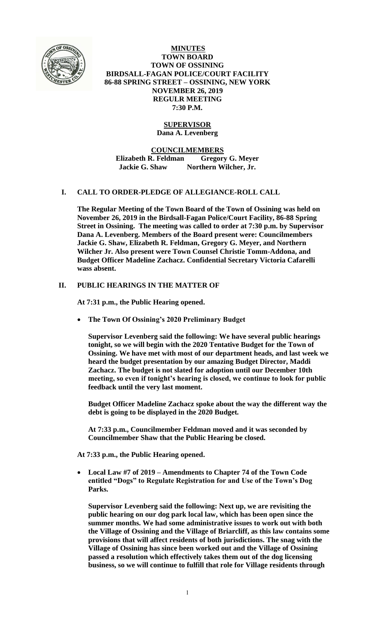

**MINUTES TOWN BOARD TOWN OF OSSINING BIRDSALL-FAGAN POLICE/COURT FACILITY 86-88 SPRING STREET – OSSINING, NEW YORK NOVEMBER 26, 2019 REGULR MEETING 7:30 P.M.**

# **SUPERVISOR**

**Dana A. Levenberg**

**COUNCILMEMBERS**

**Elizabeth R. Feldman Gregory G. Meyer Jackie G. Shaw Northern Wilcher, Jr.**

# **I. CALL TO ORDER-PLEDGE OF ALLEGIANCE-ROLL CALL**

**The Regular Meeting of the Town Board of the Town of Ossining was held on November 26, 2019 in the Birdsall-Fagan Police/Court Facility, 86-88 Spring Street in Ossining. The meeting was called to order at 7:30 p.m. by Supervisor Dana A. Levenberg. Members of the Board present were: Councilmembers Jackie G. Shaw, Elizabeth R. Feldman, Gregory G. Meyer, and Northern Wilcher Jr. Also present were Town Counsel Christie Tomm-Addona, and Budget Officer Madeline Zachacz. Confidential Secretary Victoria Cafarelli wass absent.**

# **II. PUBLIC HEARINGS IN THE MATTER OF**

**At 7:31 p.m., the Public Hearing opened.**

**The Town Of Ossining's 2020 Preliminary Budget**

**Supervisor Levenberg said the following: We have several public hearings tonight, so we will begin with the 2020 Tentative Budget for the Town of Ossining. We have met with most of our department heads, and last week we heard the budget presentation by our amazing Budget Director, Maddi Zachacz. The budget is not slated for adoption until our December 10th meeting, so even if tonight's hearing is closed, we continue to look for public feedback until the very last moment.**

**Budget Officer Madeline Zachacz spoke about the way the different way the debt is going to be displayed in the 2020 Budget.**

**At 7:33 p.m., Councilmember Feldman moved and it was seconded by Councilmember Shaw that the Public Hearing be closed.**

**At 7:33 p.m., the Public Hearing opened.**

 **Local Law #7 of 2019 – Amendments to Chapter 74 of the Town Code entitled "Dogs" to Regulate Registration for and Use of the Town's Dog Parks.**

**Supervisor Levenberg said the following: Next up, we are revisiting the public hearing on our dog park local law, which has been open since the summer months. We had some administrative issues to work out with both the Village of Ossining and the Village of Briarcliff, as this law contains some provisions that will affect residents of both jurisdictions. The snag with the Village of Ossining has since been worked out and the Village of Ossining passed a resolution which effectively takes them out of the dog licensing business, so we will continue to fulfill that role for Village residents through**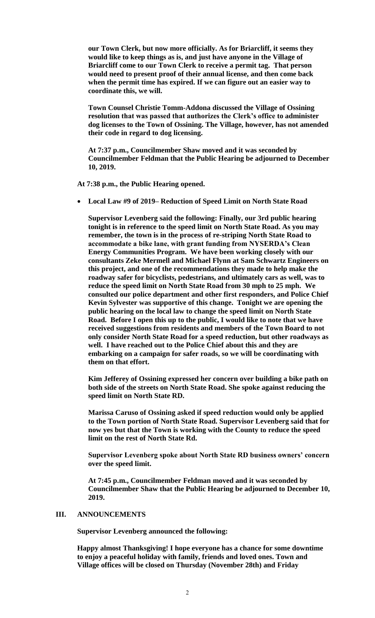**our Town Clerk, but now more officially. As for Briarcliff, it seems they would like to keep things as is, and just have anyone in the Village of Briarcliff come to our Town Clerk to receive a permit tag. That person would need to present proof of their annual license, and then come back when the permit time has expired. If we can figure out an easier way to coordinate this, we will.**

**Town Counsel Christie Tomm-Addona discussed the Village of Ossining resolution that was passed that authorizes the Clerk's office to administer dog licenses to the Town of Ossining. The Village, however, has not amended their code in regard to dog licensing.** 

**At 7:37 p.m., Councilmember Shaw moved and it was seconded by Councilmember Feldman that the Public Hearing be adjourned to December 10, 2019.**

**At 7:38 p.m., the Public Hearing opened.**

**Local Law #9 of 2019– Reduction of Speed Limit on North State Road**

**Supervisor Levenberg said the following: Finally, our 3rd public hearing tonight is in reference to the speed limit on North State Road. As you may remember, the town is in the process of re-striping North State Road to accommodate a bike lane, with grant funding from NYSERDA's Clean Energy Communities Program. We have been working closely with our consultants Zeke Mermell and Michael Flynn at Sam Schwartz Engineers on this project, and one of the recommendations they made to help make the roadway safer for bicyclists, pedestrians, and ultimately cars as well, was to reduce the speed limit on North State Road from 30 mph to 25 mph. We consulted our police department and other first responders, and Police Chief Kevin Sylvester was supportive of this change. Tonight we are opening the public hearing on the local law to change the speed limit on North State Road. Before I open this up to the public, I would like to note that we have received suggestions from residents and members of the Town Board to not only consider North State Road for a speed reduction, but other roadways as well. I have reached out to the Police Chief about this and they are embarking on a campaign for safer roads, so we will be coordinating with them on that effort.** 

**Kim Jefferey of Ossining expressed her concern over building a bike path on both side of the streets on North State Road. She spoke against reducing the speed limit on North State RD.**

**Marissa Caruso of Ossining asked if speed reduction would only be applied to the Town portion of North State Road. Supervisor Levenberg said that for now yes but that the Town is working with the County to reduce the speed limit on the rest of North State Rd.** 

**Supervisor Levenberg spoke about North State RD business owners' concern over the speed limit.** 

**At 7:45 p.m., Councilmember Feldman moved and it was seconded by Councilmember Shaw that the Public Hearing be adjourned to December 10, 2019.**

#### **III. ANNOUNCEMENTS**

**Supervisor Levenberg announced the following:**

**Happy almost Thanksgiving! I hope everyone has a chance for some downtime to enjoy a peaceful holiday with family, friends and loved ones. Town and Village offices will be closed on Thursday (November 28th) and Friday**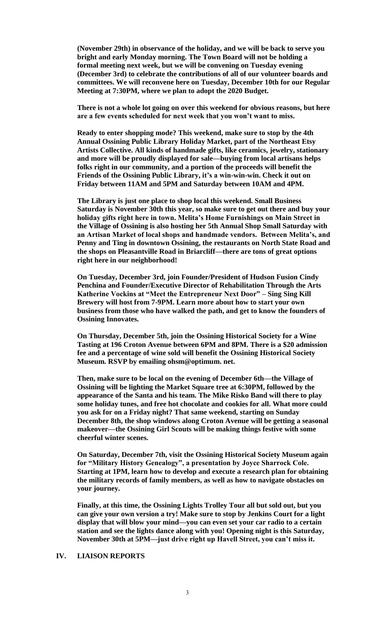**(November 29th) in observance of the holiday, and we will be back to serve you bright and early Monday morning. The Town Board will not be holding a formal meeting next week, but we will be convening on Tuesday evening (December 3rd) to celebrate the contributions of all of our volunteer boards and committees. We will reconvene here on Tuesday, December 10th for our Regular Meeting at 7:30PM, where we plan to adopt the 2020 Budget.**

**There is not a whole lot going on over this weekend for obvious reasons, but here are a few events scheduled for next week that you won't want to miss.** 

**Ready to enter shopping mode? This weekend, make sure to stop by the 4th Annual Ossining Public Library Holiday Market, part of the Northeast Etsy Artists Collective. All kinds of handmade gifts, like ceramics, jewelry, stationary and more will be proudly displayed for sale—buying from local artisans helps folks right in our community, and a portion of the proceeds will benefit the Friends of the Ossining Public Library, it's a win-win-win. Check it out on Friday between 11AM and 5PM and Saturday between 10AM and 4PM.**

**The Library is just one place to shop local this weekend. Small Business Saturday is November 30th this year, so make sure to get out there and buy your holiday gifts right here in town. Melita's Home Furnishings on Main Street in the Village of Ossining is also hosting her 5th Annual Shop Small Saturday with an Artisan Market of local shops and handmade vendors. Between Melita's, and Penny and Ting in downtown Ossining, the restaurants on North State Road and the shops on Pleasantville Road in Briarcliff—there are tons of great options right here in our neighborhood!**

**On Tuesday, December 3rd, join Founder/President of Hudson Fusion Cindy Penchina and Founder/Executive Director of Rehabilitation Through the Arts Katherine Vockins at "Meet the Entrepreneur Next Door" – Sing Sing Kill Brewery will host from 7-9PM. Learn more about how to start your own business from those who have walked the path, and get to know the founders of Ossining Innovates.**

**On Thursday, December 5th, join the Ossining Historical Society for a Wine Tasting at 196 Croton Avenue between 6PM and 8PM. There is a \$20 admission fee and a percentage of wine sold will benefit the Ossining Historical Society Museum. RSVP by emailing ohsm@optimum. net.**

**Then, make sure to be local on the evening of December 6th—the Village of Ossining will be lighting the Market Square tree at 6:30PM, followed by the appearance of the Santa and his team. The Mike Risko Band will there to play some holiday tunes, and free hot chocolate and cookies for all. What more could you ask for on a Friday night? That same weekend, starting on Sunday December 8th, the shop windows along Croton Avenue will be getting a seasonal makeover—the Ossining Girl Scouts will be making things festive with some cheerful winter scenes.** 

**On Saturday, December 7th, visit the Ossining Historical Society Museum again for "Military History Genealogy", a presentation by Joyce Sharrock Cole. Starting at 1PM, learn how to develop and execute a research plan for obtaining the military records of family members, as well as how to navigate obstacles on your journey.** 

**Finally, at this time, the Ossining Lights Trolley Tour all but sold out, but you can give your own version a try! Make sure to stop by Jenkins Court for a light display that will blow your mind—you can even set your car radio to a certain station and see the lights dance along with you! Opening night is this Saturday, November 30th at 5PM—just drive right up Havell Street, you can't miss it.**

#### **IV. LIAISON REPORTS**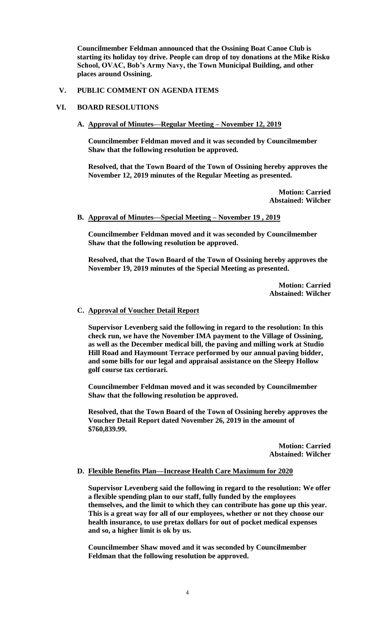**Councilmember Feldman announced that the Ossining Boat Canoe Club is starting its holiday toy drive. People can drop of toy donations at the Mike Risko School, OVAC, Bob's Army Navy, the Town Municipal Building, and other places around Ossining.** 

# **V. PUBLIC COMMENT ON AGENDA ITEMS**

# **VI. BOARD RESOLUTIONS**

# **A. Approval of Minutes—Regular Meeting – November 12, 2019**

**Councilmember Feldman moved and it was seconded by Councilmember Shaw that the following resolution be approved.**

**Resolved, that the Town Board of the Town of Ossining hereby approves the November 12, 2019 minutes of the Regular Meeting as presented.**

> **Motion: Carried Abstained: Wilcher**

# **B. Approval of Minutes—Special Meeting – November 19 , 2019**

**Councilmember Feldman moved and it was seconded by Councilmember Shaw that the following resolution be approved.**

**Resolved, that the Town Board of the Town of Ossining hereby approves the November 19, 2019 minutes of the Special Meeting as presented.**

> **Motion: Carried Abstained: Wilcher**

### **C. Approval of Voucher Detail Report**

**Supervisor Levenberg said the following in regard to the resolution: In this check run, we have the November IMA payment to the Village of Ossining, as well as the December medical bill, the paving and milling work at Studio Hill Road and Haymount Terrace performed by our annual paving bidder, and some bills for our legal and appraisal assistance on the Sleepy Hollow golf course tax certiorari.**

**Councilmember Feldman moved and it was seconded by Councilmember Shaw that the following resolution be approved.**

**Resolved, that the Town Board of the Town of Ossining hereby approves the Voucher Detail Report dated November 26, 2019 in the amount of \$760,839.99.**

> **Motion: Carried Abstained: Wilcher**

# **D. Flexible Benefits Plan—Increase Health Care Maximum for 2020**

**Supervisor Levenberg said the following in regard to the resolution: We offer a flexible spending plan to our staff, fully funded by the employees themselves, and the limit to which they can contribute has gone up this year. This is a great way for all of our employees, whether or not they choose our health insurance, to use pretax dollars for out of pocket medical expenses and so, a higher limit is ok by us.**

**Councilmember Shaw moved and it was seconded by Councilmember Feldman that the following resolution be approved.**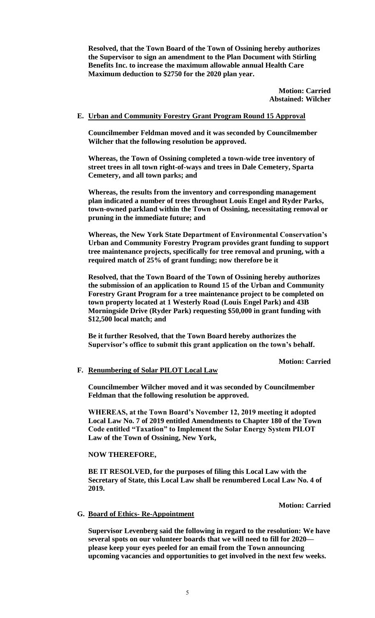**Resolved, that the Town Board of the Town of Ossining hereby authorizes the Supervisor to sign an amendment to the Plan Document with Stirling Benefits Inc. to increase the maximum allowable annual Health Care Maximum deduction to \$2750 for the 2020 plan year.**

> **Motion: Carried Abstained: Wilcher**

# **E. Urban and Community Forestry Grant Program Round 15 Approval**

**Councilmember Feldman moved and it was seconded by Councilmember Wilcher that the following resolution be approved.**

**Whereas, the Town of Ossining completed a town-wide tree inventory of street trees in all town right-of-ways and trees in Dale Cemetery, Sparta Cemetery, and all town parks; and**

**Whereas, the results from the inventory and corresponding management plan indicated a number of trees throughout Louis Engel and Ryder Parks, town-owned parkland within the Town of Ossining, necessitating removal or pruning in the immediate future; and**

**Whereas, the New York State Department of Environmental Conservation's Urban and Community Forestry Program provides grant funding to support tree maintenance projects, specifically for tree removal and pruning, with a required match of 25% of grant funding; now therefore be it** 

**Resolved, that the Town Board of the Town of Ossining hereby authorizes the submission of an application to Round 15 of the Urban and Community Forestry Grant Program for a tree maintenance project to be completed on town property located at 1 Westerly Road (Louis Engel Park) and 43B Morningside Drive (Ryder Park) requesting \$50,000 in grant funding with \$12,500 local match; and** 

**Be it further Resolved, that the Town Board hereby authorizes the Supervisor's office to submit this grant application on the town's behalf.**

**Motion: Carried**

#### **F. Renumbering of Solar PILOT Local Law**

**Councilmember Wilcher moved and it was seconded by Councilmember Feldman that the following resolution be approved.**

**WHEREAS, at the Town Board's November 12, 2019 meeting it adopted Local Law No. 7 of 2019 entitled Amendments to Chapter 180 of the Town Code entitled "Taxation" to Implement the Solar Energy System PILOT Law of the Town of Ossining, New York,**

**NOW THEREFORE,**

**BE IT RESOLVED, for the purposes of filing this Local Law with the Secretary of State, this Local Law shall be renumbered Local Law No. 4 of 2019.** 

**Motion: Carried**

### **G. Board of Ethics- Re-Appointment**

**Supervisor Levenberg said the following in regard to the resolution: We have several spots on our volunteer boards that we will need to fill for 2020 please keep your eyes peeled for an email from the Town announcing upcoming vacancies and opportunities to get involved in the next few weeks.**